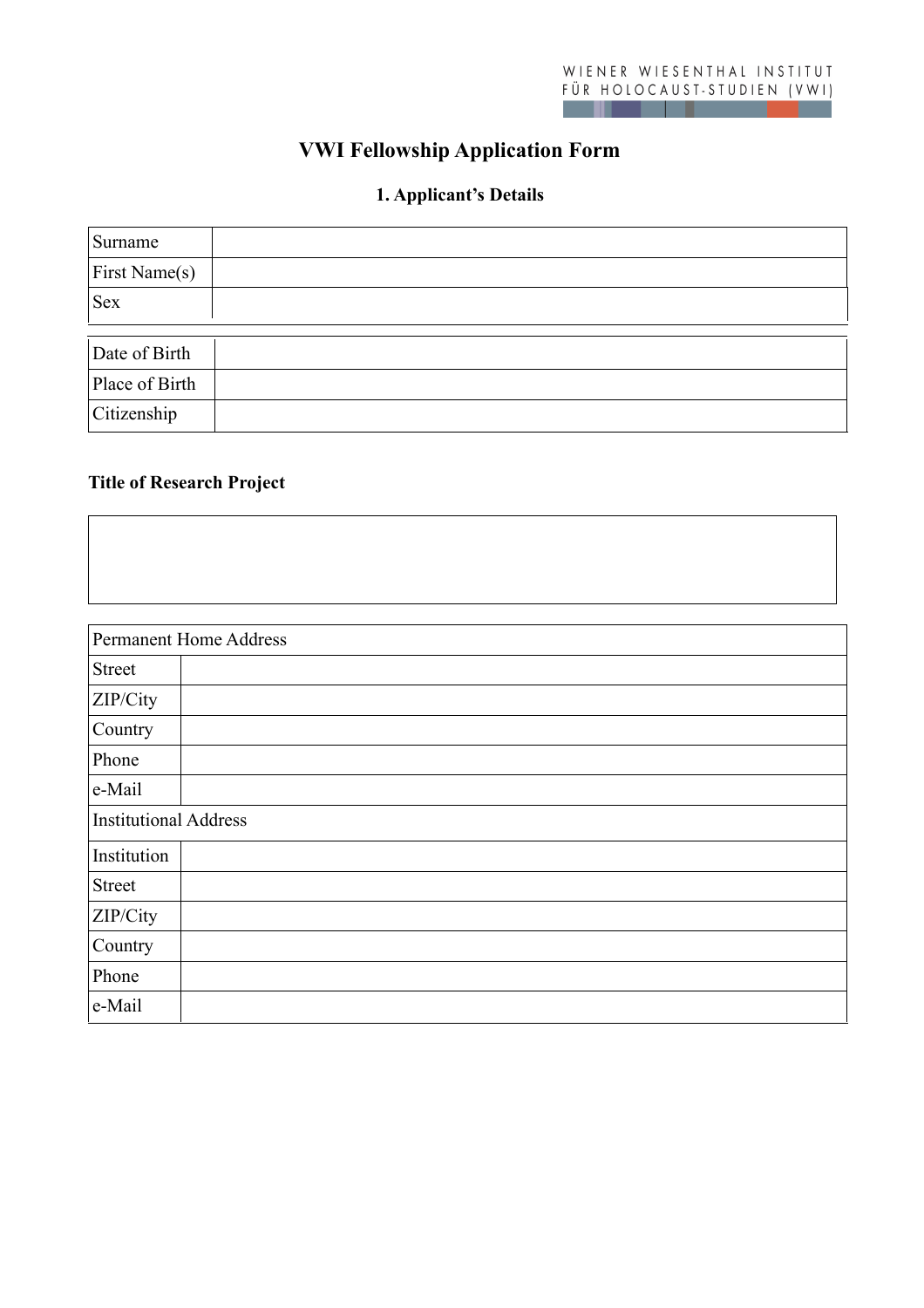# **VWI Fellowship Application Form**

## **1. Applicant's Details**

| Surname        |  |
|----------------|--|
| First Name(s)  |  |
| <b>Sex</b>     |  |
|                |  |
| Date of Birth  |  |
| Place of Birth |  |
| Citizenship    |  |

## **Title of Research Project**

|                              | Permanent Home Address |
|------------------------------|------------------------|
| <b>Street</b>                |                        |
| ZIP/City                     |                        |
| Country                      |                        |
| Phone                        |                        |
| e-Mail                       |                        |
| <b>Institutional Address</b> |                        |
| Institution                  |                        |
| <b>Street</b>                |                        |
| ZIP/City                     |                        |
| Country                      |                        |
| Phone                        |                        |
| e-Mail                       |                        |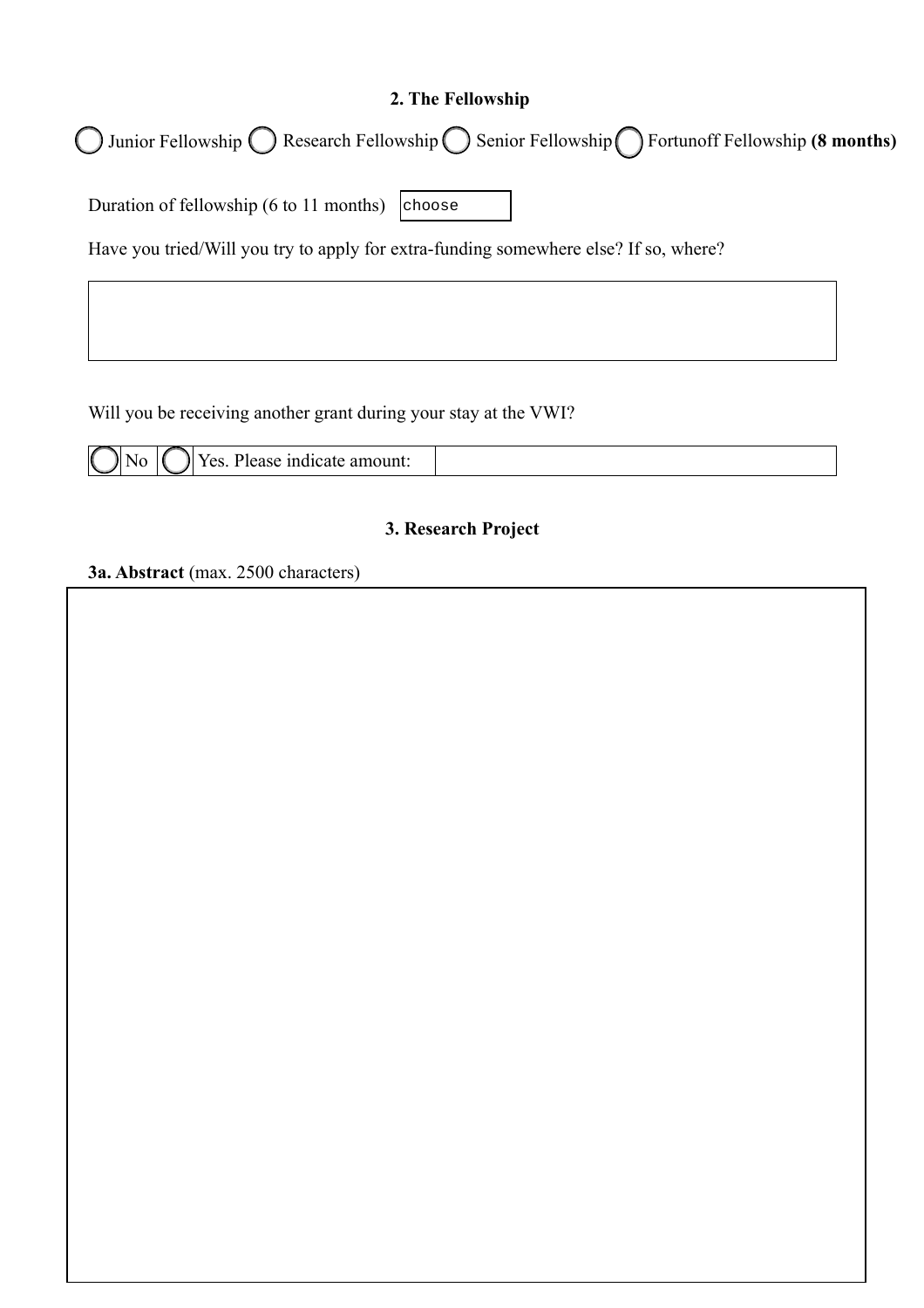## **2. The Fellowship**

Junior Fellowship ( ) Research Fellowship ( ) Senior Fellowship ( ) Fortunoff Fellowship ( **8 months**)

Duration of fellowship (6 to 11 months) choose

Have you tried/Will you try to apply for extra-funding somewhere else? If so, where?

Will you be receiving another grant during your stay at the VWI?

| N | ∕ ہ∼<br>анк<br>70. VOLLE<br>- 1110<br>uitait<br>w<br>. |  |
|---|--------------------------------------------------------|--|

#### **3. Research Project**

**3a. Abstract** (max. 2500 characters)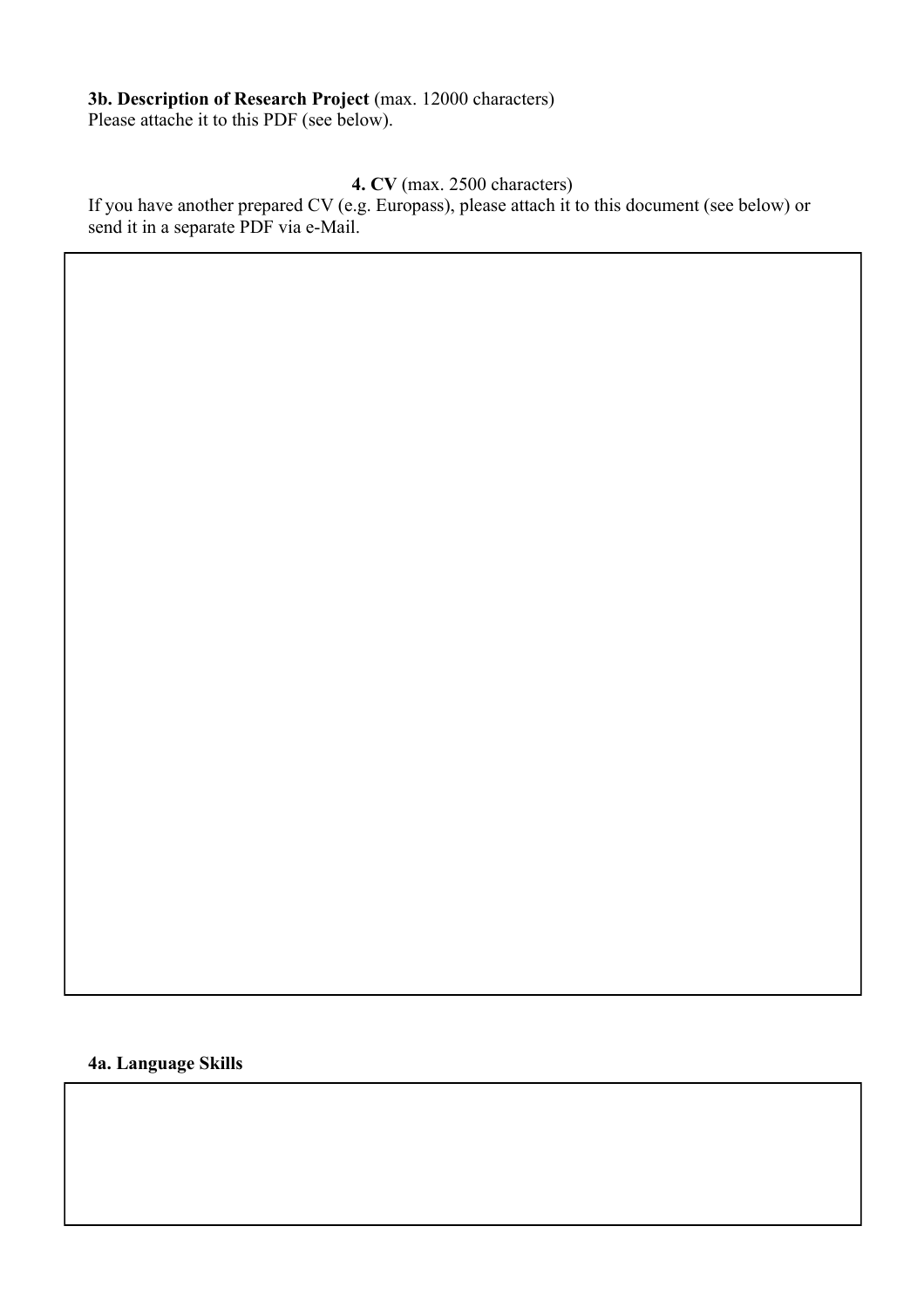**3b. Description of Research Project** (max. 12000 characters) Please attache it to this PDF (see below).

## **4. CV** (max. 2500 characters)

If you have another prepared CV (e.g. Europass), please attach it to this document (see below) or send it in a separate PDF via e-Mail.

**4a. Language Skills**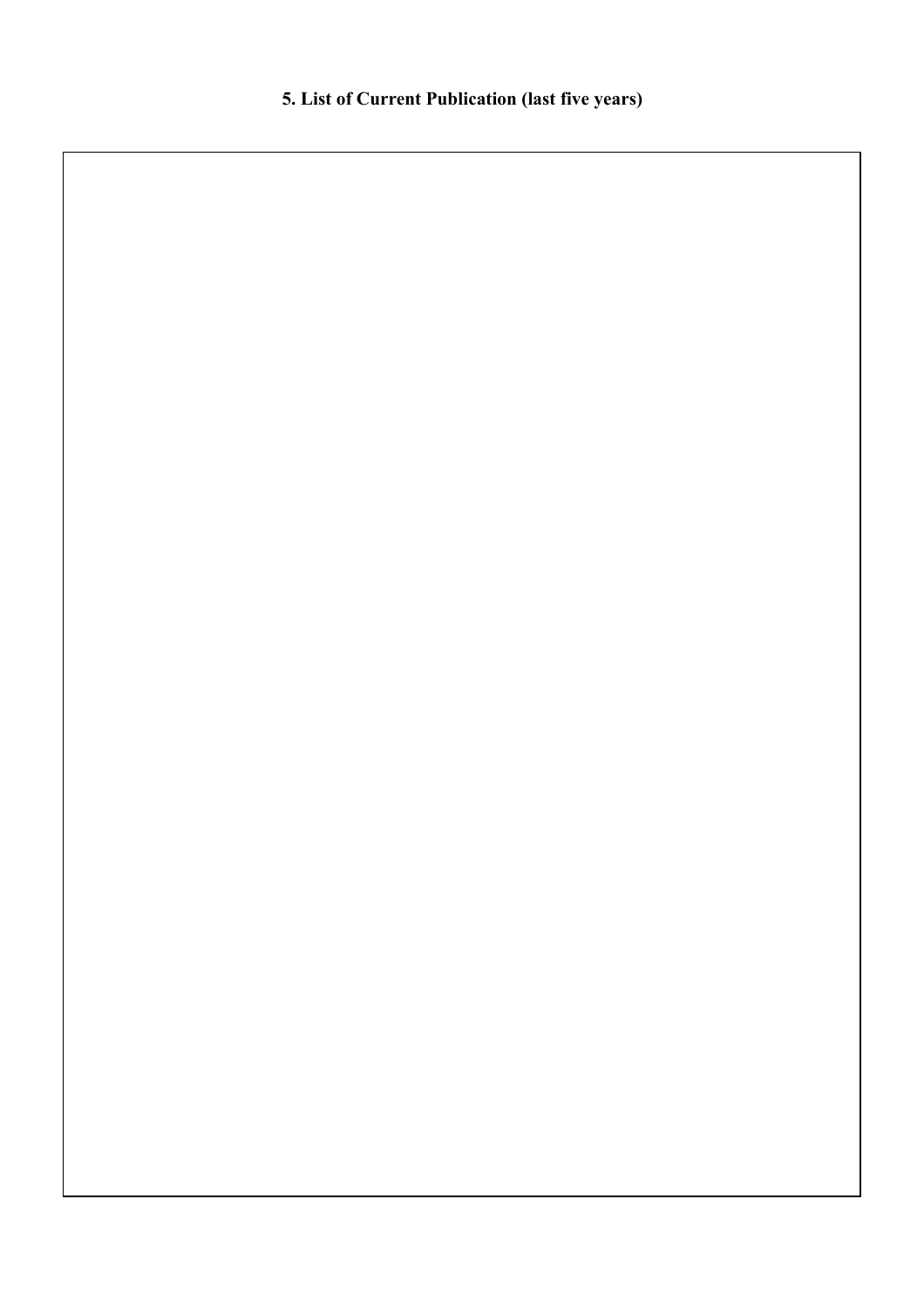**5. List of Current Publication (last five years)**